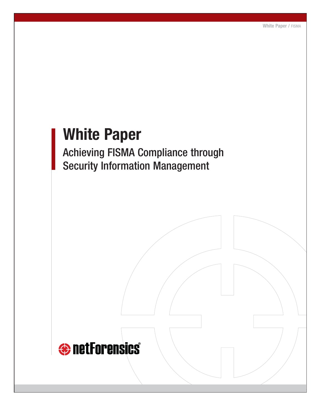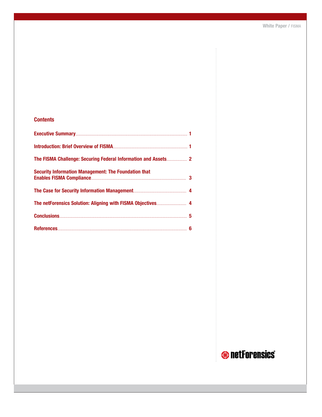### **Contents**

| <b>Security Information Management: The Foundation that</b> |  |
|-------------------------------------------------------------|--|
|                                                             |  |
|                                                             |  |
|                                                             |  |
| References 6                                                |  |

# **O** netForensics®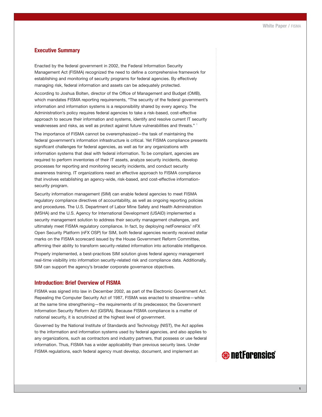#### **Executive Summary**

Enacted by the federal government in 2002, the Federal Information Security Management Act (FISMA) recognized the need to define a comprehensive framework for establishing and monitoring of security programs for federal agencies. By effectively managing risk, federal information and assets can be adequately protected.

According to Joshua Bolten, director of the Office of Management and Budget (OMB), which mandates FISMA reporting requirements, "The security of the federal government's information and information systems is a responsibility shared by every agency. The Administration's policy requires federal agencies to take a risk-based, cost-effective approach to secure their information and systems, identify and resolve current IT security weaknesses and risks, as well as protect against future vulnerabilities and threats."<sup>1</sup>

The importance of FISMA cannot be overemphasized—the task of maintaining the federal government's information infrastructure is critical. Yet FISMA compliance presents significant challenges for federal agencies, as well as for any organizations with information systems that deal with federal information. To be compliant, agencies are required to perform inventories of their IT assets, analyze security incidents, develop processes for reporting and monitoring security incidents, and conduct security awareness training. IT organizations need an effective approach to FISMA compliance that involves establishing an agency-wide, risk-based, and cost-effective informationsecurity program.

Security information management (SIM) can enable federal agencies to meet FISMA regulatory compliance directives of accountability, as well as ongoing reporting policies and procedures. The U.S. Department of Labor Mine Safety and Health Administration (MSHA) and the U.S. Agency for International Development (USAID) implemented a security management solution to address their security management challenges, and ultimately meet FISMA regulatory compliance. In fact, by deploying netForensics' nFX Open Security Platform (nFX OSP) for SIM, both federal agencies recently received stellar marks on the FISMA scorecard issued by the House Government Reform Committee, affirming their ability to transform security-related information into actionable intelligence.

Properly implemented, a best-practices SIM solution gives federal agency management real-time visibility into information security-related risk and compliance data. Additionally, SIM can support the agency's broader corporate governance objectives.

#### **Introduction: Brief Overview of FISMA**

FISMA was signed into law in December 2002, as part of the Electronic Government Act. Repealing the Computer Security Act of 1987, FISMA was enacted to streamline—while at the same time strengthening—the requirements of its predecessor, the Government Information Security Reform Act (GISRA). Because FISMA compliance is a matter of national security, it is scrutinized at the highest level of government.

Governed by the National Institute of Standards and Technology (NIST), the Act applies to the information and information systems used by federal agencies, and also applies to any organizations, such as contractors and industry partners, that possess or use federal information. Thus, FISMA has a wider applicability than previous security laws. Under FISMA regulations, each federal agency must develop, document, and implement an

### **e** netForensics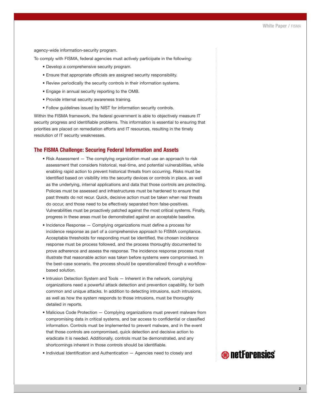agency-wide information-security program.

To comply with FISMA, federal agencies must actively participate in the following:

- Develop a comprehensive security program.
- Ensure that appropriate officials are assigned security responsibility.
- Review periodically the security controls in their information systems.
- Engage in annual security reporting to the OMB.
- Provide internal security awareness training.
- Follow guidelines issued by NIST for information security controls.

Within the FISMA framework, the federal government is able to objectively measure IT security progress and identifiable problems. This information is essential to ensuring that priorities are placed on remediation efforts and IT resources, resulting in the timely resolution of IT security weaknesses.

#### **The FISMA Challenge: Securing Federal Information and Assets**

- Risk Assessment The complying organization must use an approach to risk assessment that considers historical, real-time, and potential vulnerabilities, while enabling rapid action to prevent historical threats from occurring. Risks must be identified based on visibility into the security devices or controls in place, as well as the underlying, internal applications and data that those controls are protecting. Policies must be assessed and infrastructures must be hardened to ensure that past threats do not recur. Quick, decisive action must be taken when real threats do occur, and those need to be effectively separated from false-positives. Vulnerabilities must be proactively patched against the most critical systems. Finally, progress in these areas must be demonstrated against an acceptable baseline.
- Incidence Response Complying organizations must define a process for incidence response as part of a comprehensive approach to FISMA compliance. Acceptable thresholds for responding must be identified, the chosen incidence response must be process followed, and the process thoroughly documented to prove adherence and assess the response. The incidence response process must illustrate that reasonable action was taken before systems were compromised. In the best-case scenario, the process should be operationalized through a workflowbased solution.
- Intrusion Detection System and Tools Inherent in the network, complying organizations need a powerful attack detection and prevention capability, for both common and unique attacks. In addition to detecting intrusions, such intrusions, as well as how the system responds to those intrusions, must be thoroughly detailed in reports.
- Malicious Code Protection Complying organizations must prevent malware from compromising data in critical systems, and bar access to confidential or classified information. Controls must be implemented to prevent malware, and in the event that those controls are compromised, quick detection and decisive action to eradicate it is needed. Additionally, controls must be demonstrated, and any shortcomings inherent in those controls should be identifiable.
- Individual Identification and Authentication Agencies need to closely and

## **O** netForensics®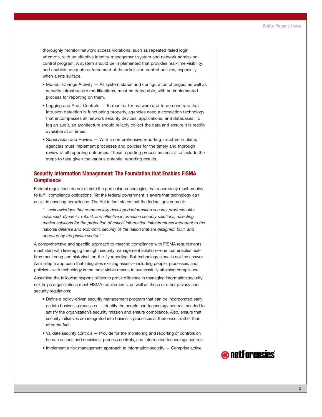thoroughly monitor network access violations, such as repeated failed login attempts, with an effective identity-management system and network admissioncontrol program. A system should be implemented that provides real-time visibility, and enables adequate enforcement of the admission control policies, especially when alerts surface.

- Monitor Change Activity All system status and configuration changes, as well as security infrastructure modifications, must be detectable, with an implemented process for reporting on them.
- Logging and Audit Controls To monitor for malware and to demonstrate that intrusion detection is functioning properly, agencies need a correlation technology that encompasses all network security devices, applications, and databases. To log an audit, an architecture should reliably collect the data and ensure it is readily available at all times.
- Supervision and Review With a comprehensive reporting structure in place, agencies must implement processes and policies for the timely and thorough review of all reporting outcomes. These reporting processes must also include the steps to take given the various potential reporting results.

#### **Security Information Management: The Foundation that Enables FISMA Compliance**

Federal regulations do not dictate the particular technologies that a company must employ to fulfill compliance obligations. Yet the federal government is aware that technology can assist in ensuring compliance. The Act in fact states that the federal government:

*"…acknowledges that commercially developed information security products offer advanced, dynamic, robust, and effective information security solutions, reflecting market solutions for the protection of critical information infrastructures important to the national defense and economic security of the nation that are designed, built, and operated by the private sector." 2*

A comprehensive and specific approach to meeting compliance with FISMA requirements must start with leveraging the right security management solution—one that enables realtime monitoring and historical, on-the-fly reporting. But technology alone is not the answer. An in-depth approach that integrates existing assets—including people, processes, and policies—with technology is the most viable means to successfully attaining compliance.

Assuming the following responsibilities to prove diligence in managing information security risk helps organizations meet FISMA requirements, as well as those of other privacy and security regulations:

- Define a policy-driven security management program that can be incorporated early on into business processes — Identify the people and technology controls needed to satisfy the organization's security mission and ensure compliance. Also, ensure that security initiatives are integrated into business processes at their onset, rather than after the fact.
- Validate security controls Provide for the monitoring and reporting of controls on human actions and decisions, process controls, and information technology controls.
- Implement a risk management approach to information security Comprise active

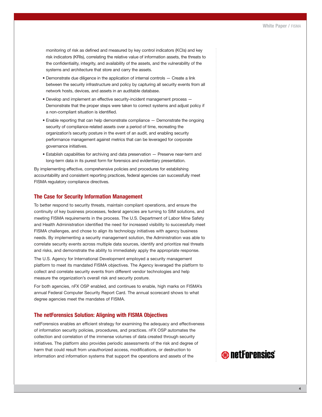monitoring of risk as defined and measured by key control indicators (KCIs) and key risk indicators (KRIs), correlating the relative value of information assets, the threats to the confidentiality, integrity, and availability of the assets, and the vulnerability of the systems and architecture that store and carry the assets.

- Demonstrate due diligence in the application of internal controls Create a link between the security infrastructure and policy by capturing all security events from all network hosts, devices, and assets in an auditable database.
- Develop and implement an effective security-incident management process Demonstrate that the proper steps were taken to correct systems and adjust policy if a non-compliant situation is identified.
- Enable reporting that can help demonstrate compliance Demonstrate the ongoing security of compliance-related assets over a period of time, recreating the organization's security posture in the event of an audit, and enabling security performance management against metrics that can be leveraged for corporate governance initiatives.
- Establish capabilities for archiving and data preservation Preserve near-term and long-term data in its purest form for forensics and evidentiary presentation.

By implementing effective, comprehensive policies and procedures for establishing accountability and consistent reporting practices, federal agencies can successfully meet FISMA regulatory compliance directives.

#### **The Case for Security Information Management**

To better respond to security threats, maintain compliant operations, and ensure the continuity of key business processes, federal agencies are turning to SIM solutions, and meeting FISMA requirements in the process. The U.S. Department of Labor Mine Safety and Health Administration identified the need for increased visibility to successfully meet FISMA challenges, and chose to align its technology initiatives with agency business needs. By implementing a security management solution, the Administration was able to correlate security events across multiple data sources, identify and prioritize real threats and risks, and demonstrate the ability to immediately apply the appropriate response.

The U.S. Agency for International Development employed a security management platform to meet its mandated FISMA objectives. The Agency leveraged the platform to collect and correlate security events from different vendor technologies and help measure the organization's overall risk and security posture.

For both agencies, nFX OSP enabled, and continues to enable, high marks on FISMA's annual Federal Computer Security Report Card. The annual scorecard shows to what degree agencies meet the mandates of FISMA.

#### **The netForensics Solution: Aligning with FISMA Objectives**

netForensics enables an efficient strategy for examining the adequacy and effectiveness of information security policies, procedures, and practices. nFX OSP automates the collection and correlation of the immense volumes of data created through security initiatives. The platform also provides periodic assessments of the risk and degree of harm that could result from unauthorized access, modifications, or destruction to information and information systems that support the operations and assets of the

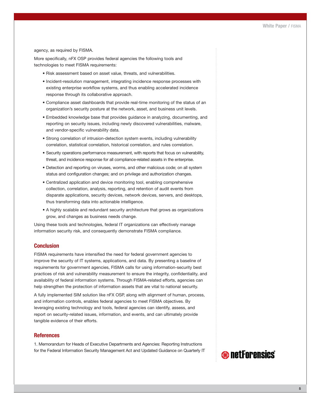#### agency, as required by FISMA.

More specifically, nFX OSP provides federal agencies the following tools and technologies to meet FISMA requirements:

- Risk assessment based on asset value, threats, and vulnerabilities.
- Incident-resolution management, integrating incidence response processes with existing enterprise workflow systems, and thus enabling accelerated incidence response through its collaborative approach.
- Compliance asset dashboards that provide real-time monitoring of the status of an organization's security posture at the network, asset, and business unit levels.
- Embedded knowledge base that provides guidance in analyzing, documenting, and reporting on security issues, including newly discovered vulnerabilities, malware, and vendor-specific vulnerability data.
- Strong correlation of intrusion-detection system events, including vulnerability correlation, statistical correlation, historical correlation, and rules correlation.
- Security operations performance measurement, with reports that focus on vulnerability, threat, and incidence response for all compliance-related assets in the enterprise.
- Detection and reporting on viruses, worms, and other malicious code; on all system status and configuration changes; and on privilege and authorization changes.
- Centralized application and device monitoring tool, enabling comprehensive collection, correlation, analysis, reporting, and retention of audit events from disparate applications, security devices, network devices, servers, and desktops, thus transforming data into actionable intelligence.
- A highly scalable and redundant security architecture that grows as organizations grow, and changes as business needs change.

Using these tools and technologies, federal IT organizations can effectively manage information security risk, and consequently demonstrate FISMA compliance.

#### **Conclusion**

FISMA requirements have intensified the need for federal government agencies to improve the security of IT systems, applications, and data. By presenting a baseline of requirements for government agencies, FISMA calls for using information-security best practices of risk and vulnerability measurement to ensure the integrity, confidentiality, and availability of federal information systems. Through FISMA-related efforts, agencies can help strengthen the protection of information assets that are vital to national security.

A fully implemented SIM solution like nFX OSP, along with alignment of human, process, and information controls, enables federal agencies to meet FISMA objectives. By leveraging existing technology and tools, federal agencies can identify, assess, and report on security-related issues, information, and events, and can ultimately provide tangible evidence of their efforts.

#### **References**

1. Memorandum for Heads of Executive Departments and Agencies: Reporting Instructions for the Federal Information Security Management Act and Updated Guidance on Quarterly IT